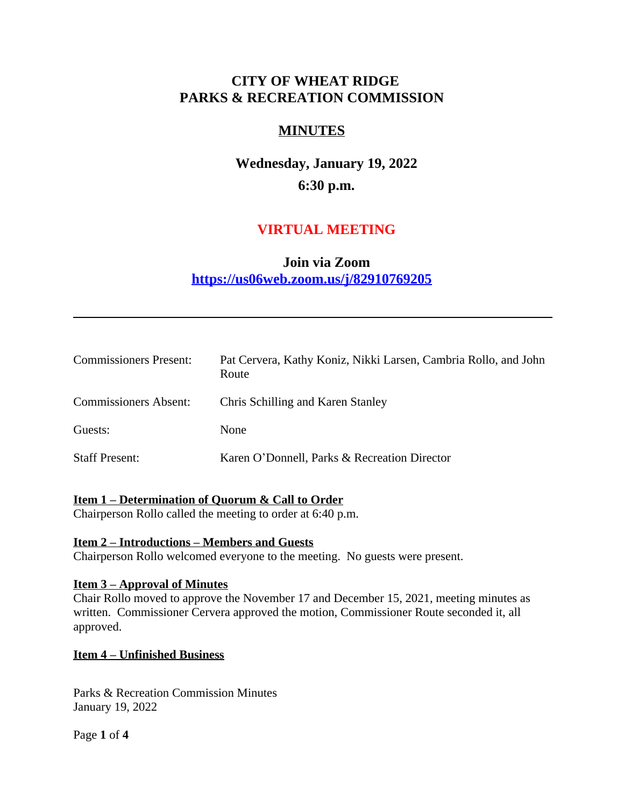# **CITY OF WHEAT RIDGE PARKS & RECREATION COMMISSION**

# **MINUTES**

**Wednesday, January 19, 2022 6:30 p.m.**

# **VIRTUAL MEETING**

# **Join via Zoom <https://us06web.zoom.us/j/82910769205>**

| <b>Commissioners Present:</b> | Pat Cervera, Kathy Koniz, Nikki Larsen, Cambria Rollo, and John<br>Route |
|-------------------------------|--------------------------------------------------------------------------|
| <b>Commissioners Absent:</b>  | Chris Schilling and Karen Stanley                                        |
| Guests:                       | None                                                                     |
| <b>Staff Present:</b>         | Karen O'Donnell, Parks & Recreation Director                             |

## **Item 1 – Determination of Quorum & Call to Order**

Chairperson Rollo called the meeting to order at 6:40 p.m.

#### **Item 2 – Introductions – Members and Guests**

Chairperson Rollo welcomed everyone to the meeting. No guests were present.

#### **Item 3 – Approval of Minutes**

Chair Rollo moved to approve the November 17 and December 15, 2021, meeting minutes as written. Commissioner Cervera approved the motion, Commissioner Route seconded it, all approved.

#### **Item 4 – Unfinished Business**

Parks & Recreation Commission Minutes January 19, 2022

Page **1** of **4**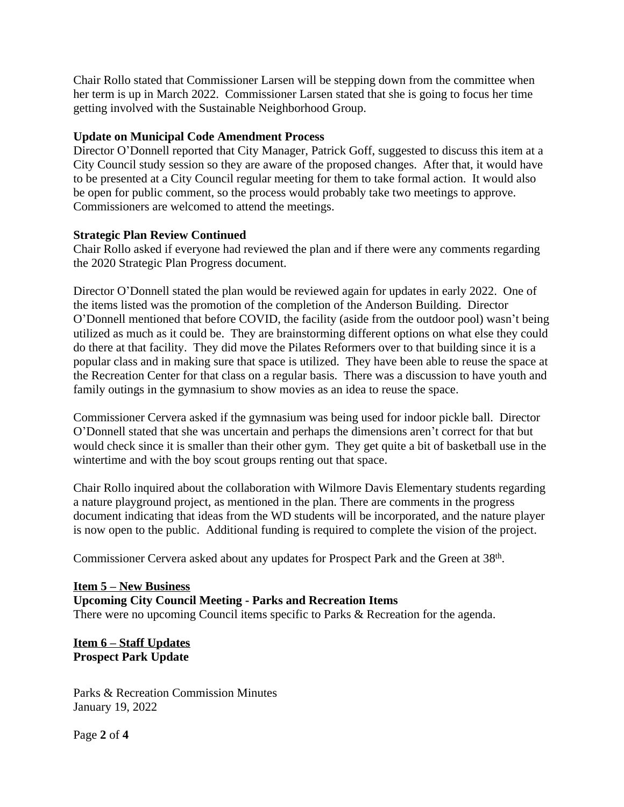Chair Rollo stated that Commissioner Larsen will be stepping down from the committee when her term is up in March 2022. Commissioner Larsen stated that she is going to focus her time getting involved with the Sustainable Neighborhood Group.

### **Update on Municipal Code Amendment Process**

Director O'Donnell reported that City Manager, Patrick Goff, suggested to discuss this item at a City Council study session so they are aware of the proposed changes. After that, it would have to be presented at a City Council regular meeting for them to take formal action. It would also be open for public comment, so the process would probably take two meetings to approve. Commissioners are welcomed to attend the meetings.

#### **Strategic Plan Review Continued**

Chair Rollo asked if everyone had reviewed the plan and if there were any comments regarding the 2020 Strategic Plan Progress document.

Director O'Donnell stated the plan would be reviewed again for updates in early 2022. One of the items listed was the promotion of the completion of the Anderson Building. Director O'Donnell mentioned that before COVID, the facility (aside from the outdoor pool) wasn't being utilized as much as it could be. They are brainstorming different options on what else they could do there at that facility. They did move the Pilates Reformers over to that building since it is a popular class and in making sure that space is utilized. They have been able to reuse the space at the Recreation Center for that class on a regular basis. There was a discussion to have youth and family outings in the gymnasium to show movies as an idea to reuse the space.

Commissioner Cervera asked if the gymnasium was being used for indoor pickle ball. Director O'Donnell stated that she was uncertain and perhaps the dimensions aren't correct for that but would check since it is smaller than their other gym. They get quite a bit of basketball use in the wintertime and with the boy scout groups renting out that space.

Chair Rollo inquired about the collaboration with Wilmore Davis Elementary students regarding a nature playground project, as mentioned in the plan. There are comments in the progress document indicating that ideas from the WD students will be incorporated, and the nature player is now open to the public. Additional funding is required to complete the vision of the project.

Commissioner Cervera asked about any updates for Prospect Park and the Green at 38<sup>th</sup>.

#### **Item 5 – New Business Upcoming City Council Meeting - Parks and Recreation Items** There were no upcoming Council items specific to Parks & Recreation for the agenda.

## **Item 6 – Staff Updates Prospect Park Update**

Parks & Recreation Commission Minutes January 19, 2022

Page **2** of **4**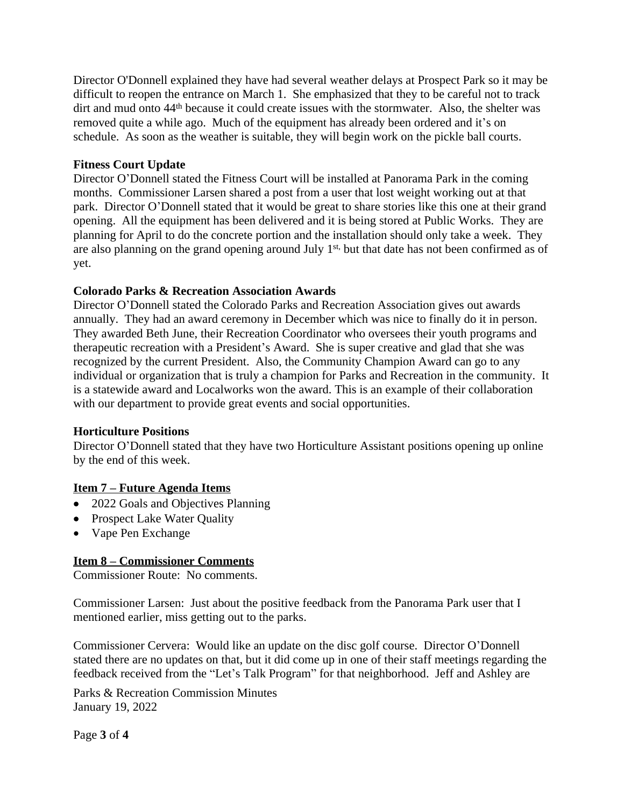Director O'Donnell explained they have had several weather delays at Prospect Park so it may be difficult to reopen the entrance on March 1. She emphasized that they to be careful not to track dirt and mud onto 44<sup>th</sup> because it could create issues with the stormwater. Also, the shelter was removed quite a while ago. Much of the equipment has already been ordered and it's on schedule. As soon as the weather is suitable, they will begin work on the pickle ball courts.

### **Fitness Court Update**

Director O'Donnell stated the Fitness Court will be installed at Panorama Park in the coming months. Commissioner Larsen shared a post from a user that lost weight working out at that park. Director O'Donnell stated that it would be great to share stories like this one at their grand opening. All the equipment has been delivered and it is being stored at Public Works. They are planning for April to do the concrete portion and the installation should only take a week. They are also planning on the grand opening around July 1<sup>st,</sup> but that date has not been confirmed as of yet.

### **Colorado Parks & Recreation Association Awards**

Director O'Donnell stated the Colorado Parks and Recreation Association gives out awards annually. They had an award ceremony in December which was nice to finally do it in person. They awarded Beth June, their Recreation Coordinator who oversees their youth programs and therapeutic recreation with a President's Award. She is super creative and glad that she was recognized by the current President. Also, the Community Champion Award can go to any individual or organization that is truly a champion for Parks and Recreation in the community. It is a statewide award and Localworks won the award. This is an example of their collaboration with our department to provide great events and social opportunities.

#### **Horticulture Positions**

Director O'Donnell stated that they have two Horticulture Assistant positions opening up online by the end of this week.

#### **Item 7 – Future Agenda Items**

- 2022 Goals and Objectives Planning
- Prospect Lake Water Quality
- Vape Pen Exchange

## **Item 8 – Commissioner Comments**

Commissioner Route: No comments.

Commissioner Larsen: Just about the positive feedback from the Panorama Park user that I mentioned earlier, miss getting out to the parks.

Commissioner Cervera: Would like an update on the disc golf course. Director O'Donnell stated there are no updates on that, but it did come up in one of their staff meetings regarding the feedback received from the "Let's Talk Program" for that neighborhood. Jeff and Ashley are

Parks & Recreation Commission Minutes January 19, 2022

Page **3** of **4**